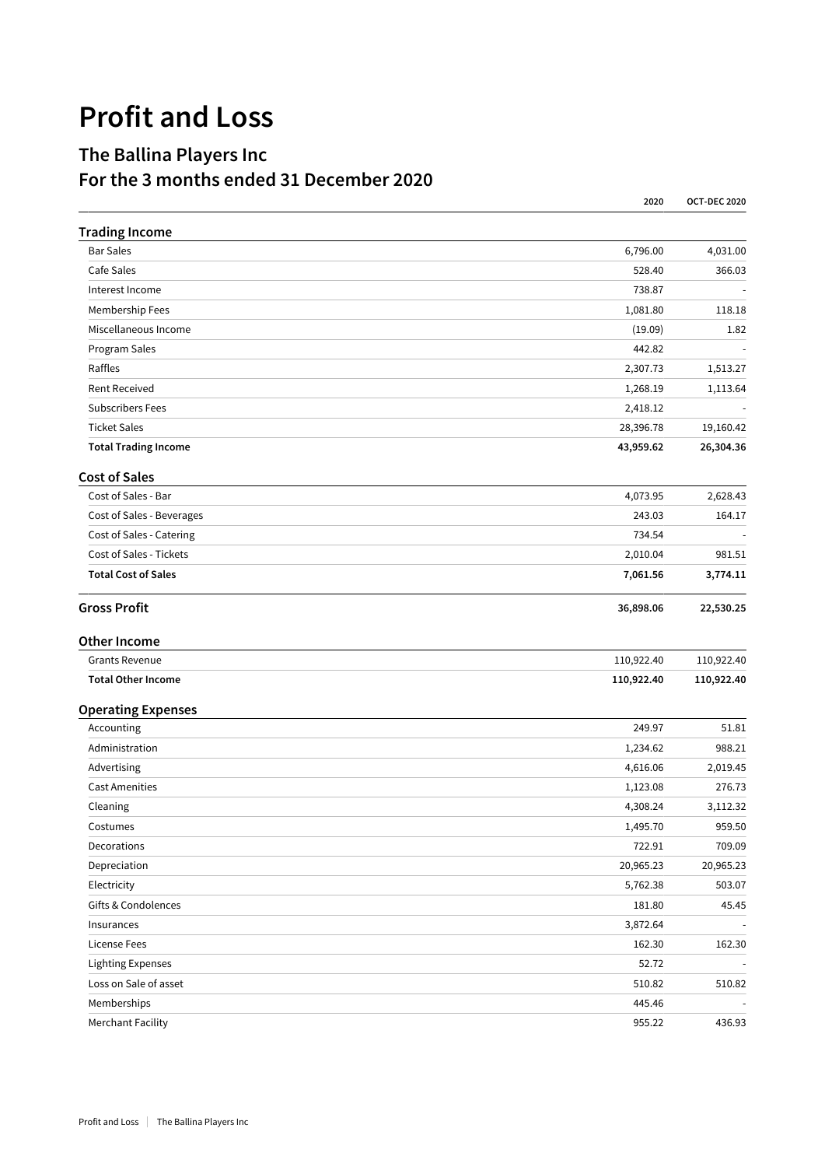## **Profit and Loss**

## **The Ballina Players Inc For the 3 months ended 31 December 2020**

|                             | 2020       | <b>OCT-DEC 2020</b> |
|-----------------------------|------------|---------------------|
| <b>Trading Income</b>       |            |                     |
| <b>Bar Sales</b>            | 6,796.00   | 4,031.00            |
| Cafe Sales                  | 528.40     | 366.03              |
| Interest Income             | 738.87     |                     |
| Membership Fees             | 1,081.80   | 118.18              |
| Miscellaneous Income        | (19.09)    | 1.82                |
| Program Sales               | 442.82     |                     |
| Raffles                     | 2,307.73   | 1,513.27            |
| <b>Rent Received</b>        | 1,268.19   | 1,113.64            |
| <b>Subscribers Fees</b>     | 2,418.12   |                     |
| <b>Ticket Sales</b>         | 28,396.78  | 19,160.42           |
| <b>Total Trading Income</b> | 43,959.62  | 26,304.36           |
| <b>Cost of Sales</b>        |            |                     |
| Cost of Sales - Bar         | 4,073.95   | 2,628.43            |
| Cost of Sales - Beverages   | 243.03     | 164.17              |
| Cost of Sales - Catering    | 734.54     |                     |
| Cost of Sales - Tickets     | 2,010.04   | 981.51              |
| <b>Total Cost of Sales</b>  | 7,061.56   | 3,774.11            |
| <b>Gross Profit</b>         | 36,898.06  | 22,530.25           |
| <b>Other Income</b>         |            |                     |
| Grants Revenue              | 110,922.40 | 110,922.40          |
| <b>Total Other Income</b>   | 110,922.40 | 110,922.40          |
| <b>Operating Expenses</b>   |            |                     |
| Accounting                  | 249.97     | 51.81               |
| Administration              | 1,234.62   | 988.21              |
| Advertising                 | 4,616.06   | 2,019.45            |
| <b>Cast Amenities</b>       | 1,123.08   | 276.73              |
| Cleaning                    | 4,308.24   | 3,112.32            |
| Costumes                    | 1,495.70   | 959.50              |
| Decorations                 | 722.91     | 709.09              |
| Depreciation                | 20,965.23  | 20,965.23           |
| Electricity                 | 5,762.38   | 503.07              |
| Gifts & Condolences         | 181.80     | 45.45               |
| Insurances                  | 3,872.64   |                     |
| <b>License Fees</b>         | 162.30     | 162.30              |
| Lighting Expenses           | 52.72      |                     |
| Loss on Sale of asset       | 510.82     | 510.82              |
| Memberships                 | 445.46     |                     |
| <b>Merchant Facility</b>    | 955.22     | 436.93              |